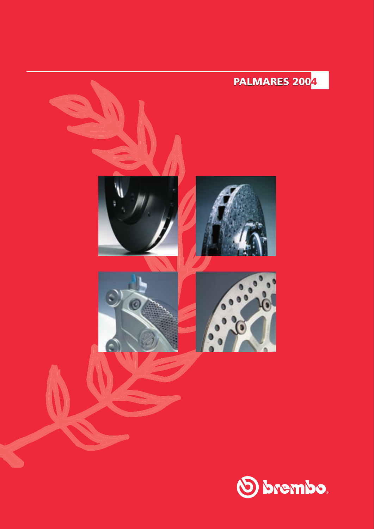

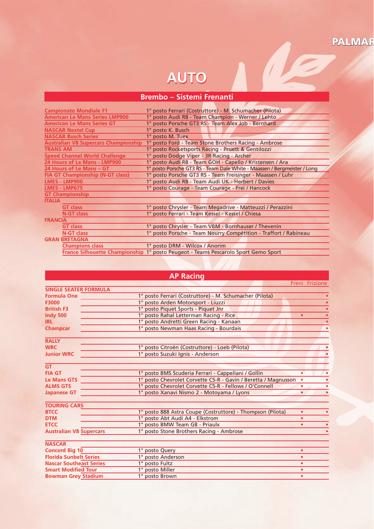## PALMAR

N G

## **AUTO**

## **Brembo – Sistemi Frenanti**

| <b>Campionato Mondiale F1</b>               | 1º posto Ferrari (Costruttore) - M. Schumacher (Pilota)                            |
|---------------------------------------------|------------------------------------------------------------------------------------|
| <b>American Le Mans Series LMP900</b>       | 1° posto Audi R8 - Team Champion - Werner / Lehto                                  |
| <b>American Le Mans Series GT</b>           | 1° posto Porsche GT3 RS - Team Alex Job - Bernhard                                 |
| <b>NASCAR Nextel Cup</b>                    | 1° posto K. Busch                                                                  |
| <b>NASCAR Busch Series</b>                  | 1° posto M. Tuex                                                                   |
| <b>Australian V8 Supercars Championship</b> | 1° posto Ford - Team Stone Brothers Racing - Ambrose                               |
| <b>TRANS AM</b>                             | 1° posto Rocketsports Racing - Pruett & Gentilozzi                                 |
| <b>Speed Channel World Challenge</b>        | 1° posto Dodge Viper - 3R Racing - Archer                                          |
| 24 Hours of Le Mans - LMP900                | 1º posto Audi R8 - Team GOH - Capello / Kristensen / Ara                           |
| 24 Hours of Le Mans - GT                    | 1° posto Porsche GT3 RS - Team Dale White - Maassen / Bergmeister / Long           |
| <b>FIA GT Championship (N-GT class)</b>     | 1° posto Porsche GT3 RS - Team Freisinger - Maassen / Luhr                         |
| <b>LMES - LMP900</b>                        | 1º posto Audi R8 - Team Audi UK - Herbert / Davies                                 |
| <b>LMES - LMP675</b>                        | 1º posto Courage - Team Courage - Frei / Hancock                                   |
| <b>GT Championship</b>                      |                                                                                    |
| <b>ITALIA</b>                               |                                                                                    |
| <b>GT class</b>                             | 1º posto Chrysler - Team Megadrive - Matteuzzi / Perazzini                         |
| <b>N-GT class</b>                           | 1° posto Ferrari - Team Kessel - Kessel / Chiesa                                   |
| <b>FRANCIA</b>                              |                                                                                    |
| <b>GT class</b>                             | 1° posto Chrysler - Team VBM - Bornhauser / Thevenin                               |
| <b>N-GT class</b>                           | 1° posto Porsche - Team Nourry Compétition - Traffort / Rabineau                   |
| <b>GRAN BRETAGNA</b>                        |                                                                                    |
| <b>Champions class</b>                      | 1º posto DRM - Wilcox / Anorim                                                     |
|                                             | France Silhouette Championship 1° posto Peugeot - Teams Pescarolo Sport Gemo Sport |

## **AP Racing**

 Freni Frizione **SINGLE SEATER FORMULA Formula One 1°** posto Ferrari (Costruttore) - M. Schumacher (Pilota) **•**<br>**• 1°** posto Arden Motorsport - Liuzzi **F3000 1°** posto Arden Motorsport - Liuzzi<br>**British F3 1°** posto Piquet Sports - Piquet Jnr **British F3** 1° posto Piquet Sports - Piquet Jnr **• Indy 500 1° posto Rahal Letterman Racing - Rice <b>• IRL 1°** posto Andretti Green Racing - Kanaa **IRL** 1° posto Andretti Green Racing - Kanaan **• Champcar** 1° posto Newman Haas Racing - Bourdais **• RALLY WRC 1<sup>°</sup>** posto Citroën (Costruttore) - Loeb (Pilota) **Junior WRC 1<sup>°</sup>** posto Suzuki Ignis - Anderson **Junior WRC** 1° posto Suzuki Ignis - Anderson **• GT FIA GT**<br> **1°** posto BMS Scuderia Ferrari - Cappellani / Gollin<br> **1°** posto Chevrolet Corvette C5-R - Gavin / Beretta **Le Mans GTS** 1° posto Chevrolet Corvette C5-R - Gavin / Beretta / Magnusson **• • ALMS GTS** 1° posto Chevrolet Corvette C5-R - Fellows / O'Connell **• • Japanese GT 1° posto Xanavi Nismo 2 - Motoyama / Lyons <b>• • • • • • • TOURING CARS BTCC**  $1^\circ$  posto 888 Astra Coupe (Costruttore) - Thompson (Pilota) **• • • • • 1 b** pTM **1 · 1 b** posto Abt Audi A4 - Elkstrom **• DTM** 1° posto Abt Audi A4 - Elkstrom **• ETCC**  $\overline{ }$  **1**° posto BMW Team GB - Priaulx **• • • 4**° **Australian V8** Supercars **•** 1° posto Stone Brothers Racing - Ambrose **Australian V8 Supercars** 1° posto Stone Brothers Racing - Ambrose **• NASCAR Concord Big 10** 1° posto Query **•**<br> **•** Florida Sunbelt Series 1° posto Anderson **• Florida Sunbelt Series** 1° posto Anderson **•**

**Nascar Southe<u>ast Series</u> 1<sup>°</sup> posto Fultz <b>•**<br> **Smart Modified Tour** 1<sup>°</sup> posto Miller **• Smart Modified Tour** 1° posto Miller **•**

**Bowman Grey Stadium** 1° posto Brown